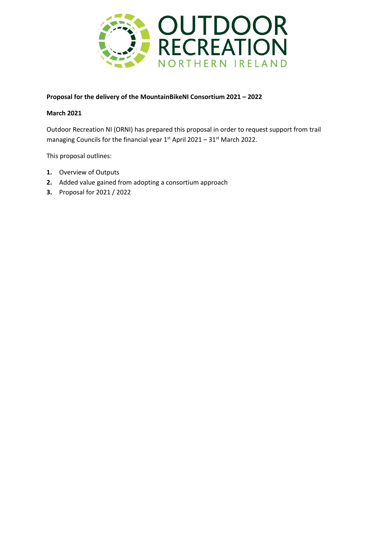

## **Proposal for the delivery of the MountainBikeNI Consortium 2021 – 2022**

### **March 2021**

Outdoor Recreation NI (ORNI) has prepared this proposal in order to request support from trail managing Councils for the financial year  $1<sup>st</sup>$  April 2021 – 31 $<sup>st</sup>$  March 2022.</sup>

This proposal outlines:

- **1.** Overview of Outputs
- **2.** Added value gained from adopting a consortium approach
- **3.** Proposal for 2021 / 2022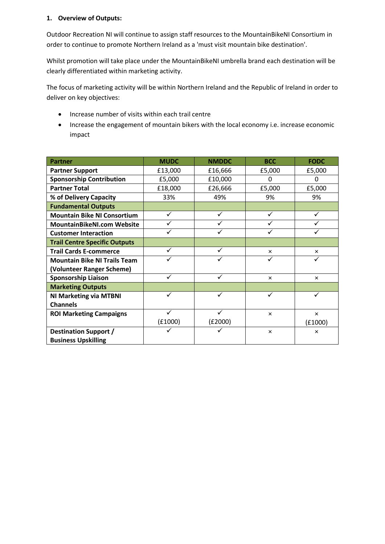## **1. Overview of Outputs:**

Outdoor Recreation NI will continue to assign staff resources to the MountainBikeNI Consortium in order to continue to promote Northern Ireland as a 'must visit mountain bike destination'.

Whilst promotion will take place under the MountainBikeNI umbrella brand each destination will be clearly differentiated within marketing activity.

The focus of marketing activity will be within Northern Ireland and the Republic of Ireland in order to deliver on key objectives:

- Increase number of visits within each trail centre
- Increase the engagement of mountain bikers with the local economy i.e. increase economic impact

| <b>Partner</b>                       | <b>MUDC</b> | <b>NMDDC</b> | <b>BCC</b> | <b>FODC</b> |
|--------------------------------------|-------------|--------------|------------|-------------|
| <b>Partner Support</b>               | £13,000     | £16,666      | £5,000     | £5,000      |
| <b>Sponsorship Contribution</b>      | £5,000      | £10,000      | 0          | 0           |
| <b>Partner Total</b>                 | £18,000     | £26,666      | £5,000     | £5,000      |
| % of Delivery Capacity               | 33%         | 49%          | 9%         | 9%          |
| <b>Fundamental Outputs</b>           |             |              |            |             |
| <b>Mountain Bike NI Consortium</b>   |             | ✓            |            |             |
| <b>MountainBikeNI.com Website</b>    |             |              |            |             |
| <b>Customer Interaction</b>          |             |              |            |             |
| <b>Trail Centre Specific Outputs</b> |             |              |            |             |
| <b>Trail Cards E-commerce</b>        | ✓           | ✓            | $\times$   | $\times$    |
| <b>Mountain Bike NI Trails Team</b>  |             |              |            |             |
| (Volunteer Ranger Scheme)            |             |              |            |             |
| <b>Sponsorship Liaison</b>           |             | ✓            | $\times$   | $\times$    |
| <b>Marketing Outputs</b>             |             |              |            |             |
| <b>NI Marketing via MTBNI</b>        |             |              |            |             |
| <b>Channels</b>                      |             |              |            |             |
| <b>ROI Marketing Campaigns</b>       |             |              | $\times$   | $\times$    |
|                                      | (E1000)     | (E2000)      |            | (E1000)     |
| <b>Destination Support /</b>         |             |              | $\times$   | $\times$    |
| <b>Business Upskilling</b>           |             |              |            |             |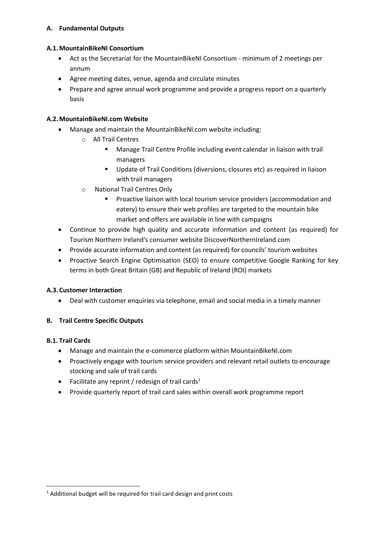## **A. Fundamental Outputs**

## **A.1.MountainBikeNI Consortium**

- Act as the Secretariat for the MountainBikeNI Consortium minimum of 2 meetings per annum
- Agree meeting dates, venue, agenda and circulate minutes
- Prepare and agree annual work programme and provide a progress report on a quarterly basis

# **A.2.MountainBikeNI.com Website**

- Manage and maintain the MountainBikeNI.com website including:
	- o All Trail Centres
		- Manage Trail Centre Profile including event calendar in liaison with trail managers
		- Update of Trail Conditions (diversions, closures etc) as required in liaison with trail managers
	- o National Trail Centres Only
		- **•** Proactive liaison with local tourism service providers (accommodation and eatery) to ensure their web profiles are targeted to the mountain bike market and offers are available in line with campaigns
- Continue to provide high quality and accurate information and content (as required) for Tourism Northern Ireland's consumer website DiscoverNorthernIreland.com
- Provide accurate information and content (as required) for councils' tourism websites
- Proactive Search Engine Optimisation (SEO) to ensure competitive Google Ranking for key terms in both Great Britain (GB) and Republic of Ireland (ROI) markets

# **A.3.Customer Interaction**

• Deal with customer enquiries via telephone, email and social media in a timely manner

# **B. Trail Centre Specific Outputs**

# **B.1. Trail Cards**

- Manage and maintain the e-commerce platform within MountainBikeNI.com
- Proactively engage with tourism service providers and relevant retail outlets to encourage stocking and sale of trail cards
- Facilitate any reprint / redesign of trail cards<sup>1</sup>
- Provide quarterly report of trail card sales within overall work programme report

<sup>&</sup>lt;sup>1</sup> Additional budget will be required for trail card design and print costs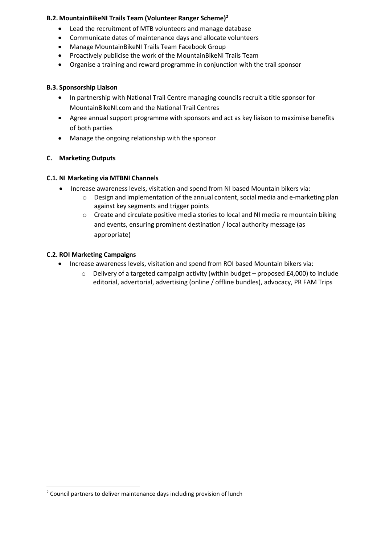### **B.2. MountainBikeNI Trails Team (Volunteer Ranger Scheme)<sup>2</sup>**

- Lead the recruitment of MTB volunteers and manage database
- Communicate dates of maintenance days and allocate volunteers
- Manage MountainBikeNI Trails Team Facebook Group
- Proactively publicise the work of the MountainBikeNI Trails Team
- Organise a training and reward programme in conjunction with the trail sponsor

#### **B.3. Sponsorship Liaison**

- In partnership with National Trail Centre managing councils recruit a title sponsor for MountainBikeNI.com and the National Trail Centres
- Agree annual support programme with sponsors and act as key liaison to maximise benefits of both parties
- Manage the ongoing relationship with the sponsor

### **C. Marketing Outputs**

#### **C.1. NI Marketing via MTBNI Channels**

- Increase awareness levels, visitation and spend from NI based Mountain bikers via:
	- $\circ$  Design and implementation of the annual content, social media and e-marketing plan against key segments and trigger points
	- $\circ$  Create and circulate positive media stories to local and NI media re mountain biking and events, ensuring prominent destination / local authority message (as appropriate)

### **C.2. ROI Marketing Campaigns**

- Increase awareness levels, visitation and spend from ROI based Mountain bikers via:
	- $\circ$  Delivery of a targeted campaign activity (within budget proposed £4,000) to include editorial, advertorial, advertising (online / offline bundles), advocacy, PR FAM Trips

<sup>&</sup>lt;sup>2</sup> Council partners to deliver maintenance days including provision of lunch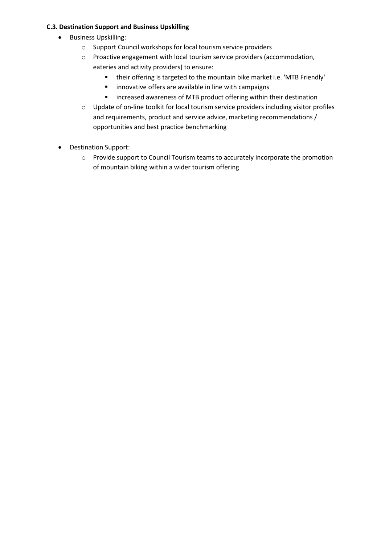## **C.3. Destination Support and Business Upskilling**

- Business Upskilling:
	- o Support Council workshops for local tourism service providers
	- o Proactive engagement with local tourism service providers (accommodation, eateries and activity providers) to ensure:
		- their offering is targeted to the mountain bike market i.e. 'MTB Friendly'
		- innovative offers are available in line with campaigns
		- increased awareness of MTB product offering within their destination
	- o Update of on-line toolkit for local tourism service providers including visitor profiles and requirements, product and service advice, marketing recommendations / opportunities and best practice benchmarking
- Destination Support:
	- o Provide support to Council Tourism teams to accurately incorporate the promotion of mountain biking within a wider tourism offering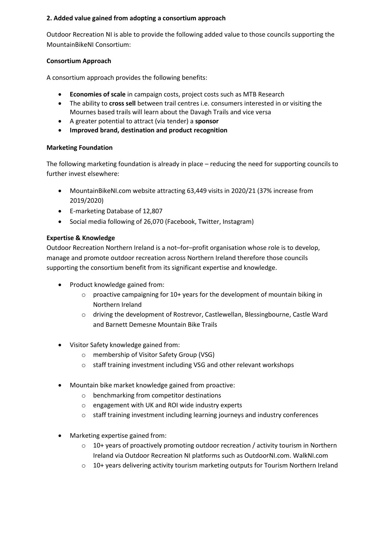## **2. Added value gained from adopting a consortium approach**

Outdoor Recreation NI is able to provide the following added value to those councils supporting the MountainBikeNI Consortium:

## **Consortium Approach**

A consortium approach provides the following benefits:

- **Economies of scale** in campaign costs, project costs such as MTB Research
- The ability to **cross sell** between trail centres i.e. consumers interested in or visiting the Mournes based trails will learn about the Davagh Trails and vice versa
- A greater potential to attract (via tender) a **sponsor**
- **Improved brand, destination and product recognition**

# **Marketing Foundation**

The following marketing foundation is already in place – reducing the need for supporting councils to further invest elsewhere:

- MountainBikeNI.com website attracting 63,449 visits in 2020/21 (37% increase from 2019/2020)
- E-marketing Database of 12,807
- Social media following of 26,070 (Facebook, Twitter, Instagram)

# **Expertise & Knowledge**

Outdoor Recreation Northern Ireland is a not–for–profit organisation whose role is to develop, manage and promote outdoor recreation across Northern Ireland therefore those councils supporting the consortium benefit from its significant expertise and knowledge.

- Product knowledge gained from:
	- $\circ$  proactive campaigning for 10+ years for the development of mountain biking in Northern Ireland
	- o driving the development of Rostrevor, Castlewellan, Blessingbourne, Castle Ward and Barnett Demesne Mountain Bike Trails
- Visitor Safety knowledge gained from:
	- o membership of Visitor Safety Group (VSG)
	- o staff training investment including VSG and other relevant workshops
- Mountain bike market knowledge gained from proactive:
	- o benchmarking from competitor destinations
	- o engagement with UK and ROI wide industry experts
	- o staff training investment including learning journeys and industry conferences
- Marketing expertise gained from:
	- $\circ$  10+ years of proactively promoting outdoor recreation / activity tourism in Northern Ireland via Outdoor Recreation NI platforms such as OutdoorNI.com. WalkNI.com
	- $\circ$  10+ years delivering activity tourism marketing outputs for Tourism Northern Ireland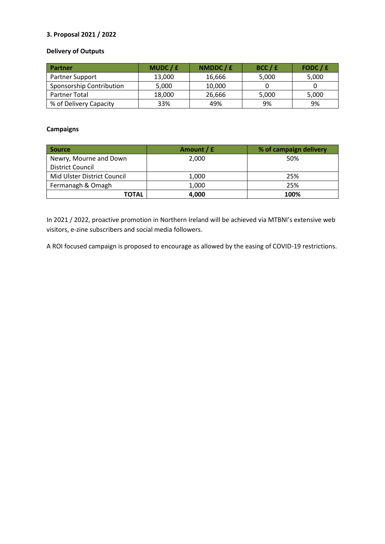### **3. Proposal 2021 / 2022**

## **Delivery of Outputs**

| Partner                  | MUDC/£ | NMDDC / £ | BCC / E | FODC / £ |
|--------------------------|--------|-----------|---------|----------|
| Partner Support          | 13,000 | 16.666    | 5,000   | 5,000    |
| Sponsorship Contribution | 5,000  | 10,000    |         |          |
| <b>Partner Total</b>     | 18,000 | 26,666    | 5,000   | 5,000    |
| % of Delivery Capacity   | 33%    | 49%       | 9%      | 9%       |

### **Campaigns**

| <b>Source</b>               | Amount / £ | % of campaign delivery |
|-----------------------------|------------|------------------------|
| Newry, Mourne and Down      | 2.000      | 50%                    |
| <b>District Council</b>     |            |                        |
| Mid Ulster District Council | 1,000      | 25%                    |
| Fermanagh & Omagh           | 1,000      | 25%                    |
| <b>TOTAL</b>                | 4,000      | 100%                   |

In 2021 / 2022, proactive promotion in Northern Ireland will be achieved via MTBNI's extensive web visitors, e-zine subscribers and social media followers.

A ROI focused campaign is proposed to encourage as allowed by the easing of COVID-19 restrictions.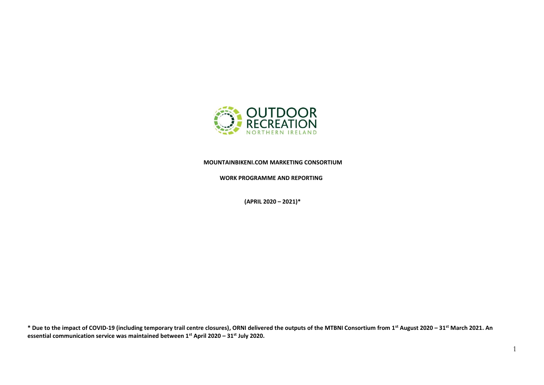

 **MOUNTAINBIKENI.COM MARKETING CONSORTIUM**

 **WORK PROGRAMME AND REPORTING** 

 **(APRIL 2020 – 2021)\***

\* Due to the impact of COVID-19 (including temporary trail centre closures), ORNI delivered the outputs of the MTBNI Consortium from 1<sup>st</sup> August 2020 - 31<sup>st</sup> March 2021. An **essential communication service was maintained between 1st April 2020 – 31st July 2020.**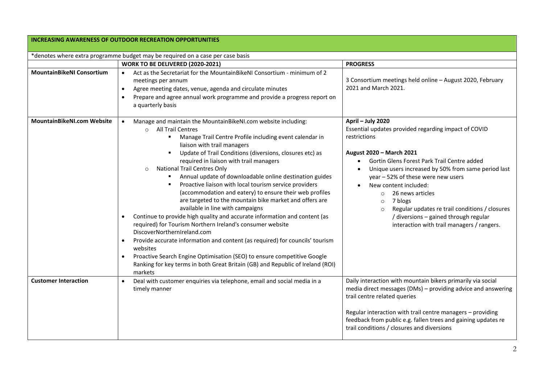|                                   | <b>INCREASING AWARENESS OF OUTDOOR RECREATION OPPORTUNITIES</b>                                                                                                                                                                                                                                                                                                                                                                                                                                                                                                                                                                                                                                                                                                                                                                                                                                                                                                                                                                                                          |                                                                                                                                                                                                                                                                                                                                                                                                                                                                                                                  |  |
|-----------------------------------|--------------------------------------------------------------------------------------------------------------------------------------------------------------------------------------------------------------------------------------------------------------------------------------------------------------------------------------------------------------------------------------------------------------------------------------------------------------------------------------------------------------------------------------------------------------------------------------------------------------------------------------------------------------------------------------------------------------------------------------------------------------------------------------------------------------------------------------------------------------------------------------------------------------------------------------------------------------------------------------------------------------------------------------------------------------------------|------------------------------------------------------------------------------------------------------------------------------------------------------------------------------------------------------------------------------------------------------------------------------------------------------------------------------------------------------------------------------------------------------------------------------------------------------------------------------------------------------------------|--|
|                                   | *denotes where extra programme budget may be required on a case per case basis                                                                                                                                                                                                                                                                                                                                                                                                                                                                                                                                                                                                                                                                                                                                                                                                                                                                                                                                                                                           |                                                                                                                                                                                                                                                                                                                                                                                                                                                                                                                  |  |
|                                   | WORK TO BE DELIVERED (2020-2021)                                                                                                                                                                                                                                                                                                                                                                                                                                                                                                                                                                                                                                                                                                                                                                                                                                                                                                                                                                                                                                         | <b>PROGRESS</b>                                                                                                                                                                                                                                                                                                                                                                                                                                                                                                  |  |
| <b>MountainBikeNI Consortium</b>  | Act as the Secretariat for the MountainBikeNI Consortium - minimum of 2<br>$\bullet$<br>meetings per annum<br>Agree meeting dates, venue, agenda and circulate minutes<br>$\bullet$<br>Prepare and agree annual work programme and provide a progress report on<br>$\bullet$<br>a quarterly basis                                                                                                                                                                                                                                                                                                                                                                                                                                                                                                                                                                                                                                                                                                                                                                        | 3 Consortium meetings held online - August 2020, February<br>2021 and March 2021.                                                                                                                                                                                                                                                                                                                                                                                                                                |  |
| <b>MountainBikeNI.com Website</b> | Manage and maintain the MountainBikeNI.com website including:<br>o All Trail Centres<br>Manage Trail Centre Profile including event calendar in<br>٠.<br>liaison with trail managers<br>Update of Trail Conditions (diversions, closures etc) as<br>required in liaison with trail managers<br><b>National Trail Centres Only</b><br>$\circ$<br>Annual update of downloadable online destination guides<br>Proactive liaison with local tourism service providers<br>(accommodation and eatery) to ensure their web profiles<br>are targeted to the mountain bike market and offers are<br>available in line with campaigns<br>Continue to provide high quality and accurate information and content (as<br>required) for Tourism Northern Ireland's consumer website<br>DiscoverNorthernIreland.com<br>Provide accurate information and content (as required) for councils' tourism<br>websites<br>Proactive Search Engine Optimisation (SEO) to ensure competitive Google<br>Ranking for key terms in both Great Britain (GB) and Republic of Ireland (ROI)<br>markets | April - July 2020<br>Essential updates provided regarding impact of COVID<br>restrictions<br>August 2020 - March 2021<br>Gortin Glens Forest Park Trail Centre added<br>Unique users increased by 50% from same period last<br>$\bullet$<br>year - 52% of these were new users<br>New content included:<br>26 news articles<br>$\circ$<br>7 blogs<br>$\circ$<br>Regular updates re trail conditions / closures<br>$\circ$<br>/ diversions - gained through regular<br>interaction with trail managers / rangers. |  |
| <b>Customer Interaction</b>       | Deal with customer enquiries via telephone, email and social media in a<br>timely manner                                                                                                                                                                                                                                                                                                                                                                                                                                                                                                                                                                                                                                                                                                                                                                                                                                                                                                                                                                                 | Daily interaction with mountain bikers primarily via social<br>media direct messages (DMs) - providing advice and answering<br>trail centre related queries<br>Regular interaction with trail centre managers - providing                                                                                                                                                                                                                                                                                        |  |
|                                   |                                                                                                                                                                                                                                                                                                                                                                                                                                                                                                                                                                                                                                                                                                                                                                                                                                                                                                                                                                                                                                                                          | feedback from public e.g. fallen trees and gaining updates re<br>trail conditions / closures and diversions                                                                                                                                                                                                                                                                                                                                                                                                      |  |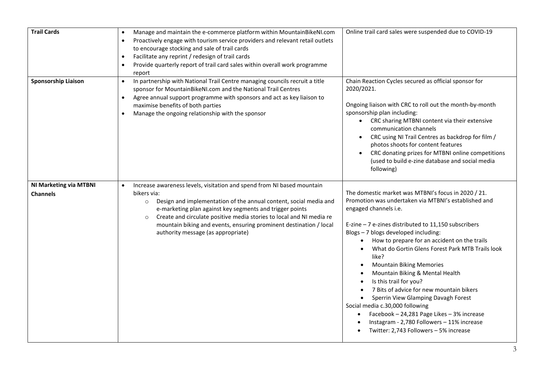| <b>Trail Cards</b>                        | Manage and maintain the e-commerce platform within MountainBikeNI.com<br>$\bullet$<br>Proactively engage with tourism service providers and relevant retail outlets<br>$\bullet$<br>to encourage stocking and sale of trail cards<br>Facilitate any reprint / redesign of trail cards<br>$\bullet$<br>Provide quarterly report of trail card sales within overall work programme<br>$\bullet$<br>report                                       | Online trail card sales were suspended due to COVID-19                                                                                                                                                                                                                                                                                                                                                                                                                                                                                                                                                                                                                                                              |
|-------------------------------------------|-----------------------------------------------------------------------------------------------------------------------------------------------------------------------------------------------------------------------------------------------------------------------------------------------------------------------------------------------------------------------------------------------------------------------------------------------|---------------------------------------------------------------------------------------------------------------------------------------------------------------------------------------------------------------------------------------------------------------------------------------------------------------------------------------------------------------------------------------------------------------------------------------------------------------------------------------------------------------------------------------------------------------------------------------------------------------------------------------------------------------------------------------------------------------------|
| <b>Sponsorship Liaison</b>                | In partnership with National Trail Centre managing councils recruit a title<br>$\bullet$<br>sponsor for MountainBikeNI.com and the National Trail Centres<br>Agree annual support programme with sponsors and act as key liaison to<br>$\bullet$<br>maximise benefits of both parties<br>Manage the ongoing relationship with the sponsor<br>$\bullet$                                                                                        | Chain Reaction Cycles secured as official sponsor for<br>2020/2021.<br>Ongoing liaison with CRC to roll out the month-by-month<br>sponsorship plan including:<br>CRC sharing MTBNI content via their extensive<br>$\bullet$<br>communication channels<br>CRC using NI Trail Centres as backdrop for film /<br>$\bullet$<br>photos shoots for content features<br>CRC donating prizes for MTBNI online competitions<br>(used to build e-zine database and social media<br>following)                                                                                                                                                                                                                                 |
| NI Marketing via MTBNI<br><b>Channels</b> | Increase awareness levels, visitation and spend from NI based mountain<br>$\bullet$<br>bikers via:<br>Design and implementation of the annual content, social media and<br>$\circ$<br>e-marketing plan against key segments and trigger points<br>Create and circulate positive media stories to local and NI media re<br>$\circ$<br>mountain biking and events, ensuring prominent destination / local<br>authority message (as appropriate) | The domestic market was MTBNI's focus in 2020 / 21.<br>Promotion was undertaken via MTBNI's established and<br>engaged channels i.e.<br>E-zine $-7$ e-zines distributed to 11,150 subscribers<br>Blogs - 7 blogs developed including:<br>How to prepare for an accident on the trails<br>What do Gortin Glens Forest Park MTB Trails look<br>like?<br><b>Mountain Biking Memories</b><br>٠<br>Mountain Biking & Mental Health<br>Is this trail for you?<br>7 Bits of advice for new mountain bikers<br>Sperrin View Glamping Davagh Forest<br>Social media c.30,000 following<br>Facebook - 24,281 Page Likes - 3% increase<br>Instagram - 2,780 Followers - 11% increase<br>Twitter: 2,743 Followers - 5% increase |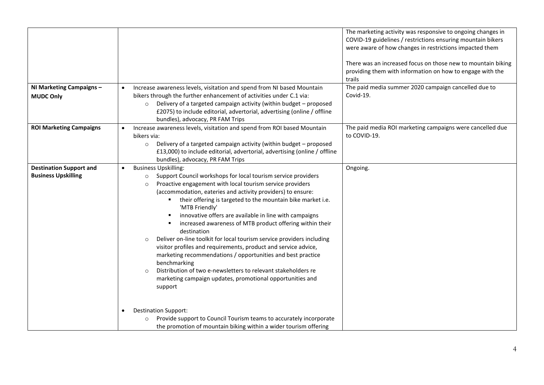| Increase awareness levels, visitation and spend from NI based Mountain<br>bikers through the further enhancement of activities under C.1 via:<br>Delivery of a targeted campaign activity (within budget - proposed<br>$\circ$<br>£2075) to include editorial, advertorial, advertising (online / offline<br>bundles), advocacy, PR FAM Trips                                                                                                                                                                                                                                                                                                                                                                                                                                                                                                                                                                                                                                   | The marketing activity was responsive to ongoing changes in<br>COVID-19 guidelines / restrictions ensuring mountain bikers<br>were aware of how changes in restrictions impacted them<br>There was an increased focus on those new to mountain biking<br>providing them with information on how to engage with the<br>trails<br>The paid media summer 2020 campaign cancelled due to<br>Covid-19. |
|---------------------------------------------------------------------------------------------------------------------------------------------------------------------------------------------------------------------------------------------------------------------------------------------------------------------------------------------------------------------------------------------------------------------------------------------------------------------------------------------------------------------------------------------------------------------------------------------------------------------------------------------------------------------------------------------------------------------------------------------------------------------------------------------------------------------------------------------------------------------------------------------------------------------------------------------------------------------------------|---------------------------------------------------------------------------------------------------------------------------------------------------------------------------------------------------------------------------------------------------------------------------------------------------------------------------------------------------------------------------------------------------|
| Increase awareness levels, visitation and spend from ROI based Mountain<br>bikers via:<br>Delivery of a targeted campaign activity (within budget - proposed<br>$\circ$<br>£13,000) to include editorial, advertorial, advertising (online / offline<br>bundles), advocacy, PR FAM Trips                                                                                                                                                                                                                                                                                                                                                                                                                                                                                                                                                                                                                                                                                        | The paid media ROI marketing campaigns were cancelled due<br>to COVID-19.                                                                                                                                                                                                                                                                                                                         |
| <b>Business Upskilling:</b><br>$\bullet$<br>Support Council workshops for local tourism service providers<br>$\circ$<br>Proactive engagement with local tourism service providers<br>$\circ$<br>(accommodation, eateries and activity providers) to ensure:<br>their offering is targeted to the mountain bike market i.e.<br>'MTB Friendly'<br>innovative offers are available in line with campaigns<br>increased awareness of MTB product offering within their<br>destination<br>Deliver on-line toolkit for local tourism service providers including<br>$\circ$<br>visitor profiles and requirements, product and service advice,<br>marketing recommendations / opportunities and best practice<br>benchmarking<br>Distribution of two e-newsletters to relevant stakeholders re<br>$\circ$<br>marketing campaign updates, promotional opportunities and<br>support<br><b>Destination Support:</b><br>Provide support to Council Tourism teams to accurately incorporate | Ongoing.                                                                                                                                                                                                                                                                                                                                                                                          |
|                                                                                                                                                                                                                                                                                                                                                                                                                                                                                                                                                                                                                                                                                                                                                                                                                                                                                                                                                                                 | the promotion of mountain biking within a wider tourism offering                                                                                                                                                                                                                                                                                                                                  |